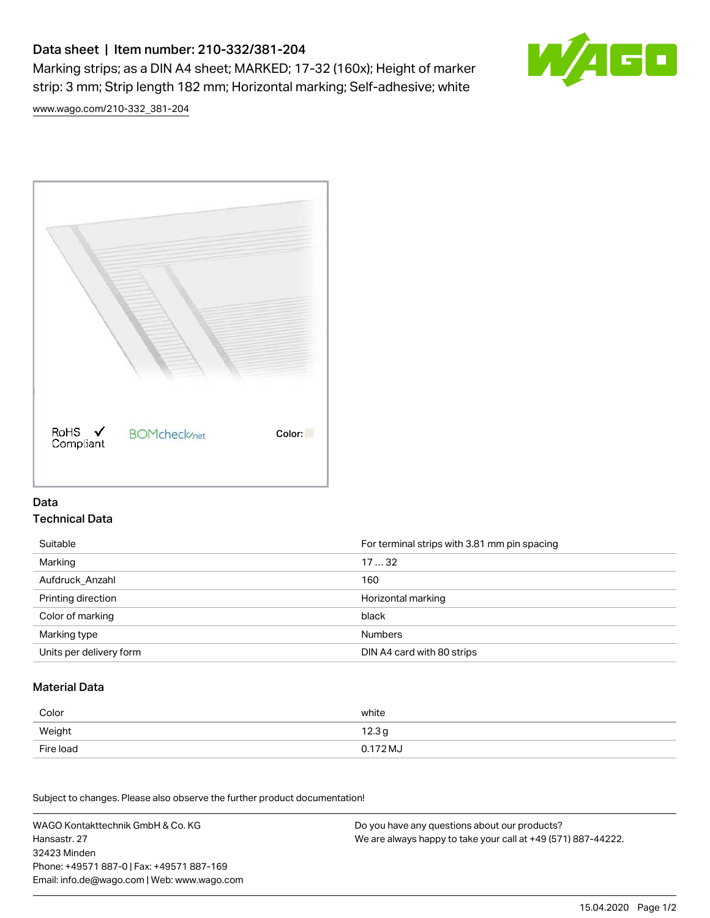# Data sheet | Item number: 210-332/381-204

Marking strips; as a DIN A4 sheet; MARKED; 17-32 (160x); Height of marker strip: 3 mm; Strip length 182 mm; Horizontal marking; Self-adhesive; white



[www.wago.com/210-332\\_381-204](http://www.wago.com/210-332_381-204)



### Data Technical Data

| Suitable                | For terminal strips with 3.81 mm pin spacing |
|-------------------------|----------------------------------------------|
| Marking                 | 1732                                         |
| Aufdruck Anzahl         | 160                                          |
| Printing direction      | Horizontal marking                           |
| Color of marking        | black                                        |
| Marking type            | <b>Numbers</b>                               |
| Units per delivery form | DIN A4 card with 80 strips                   |

#### Material Data

| Color     | white                       |
|-----------|-----------------------------|
| Weight    | 12.3 <sub>g</sub>           |
| Fire load | $0.172\,\mathrm{M}_{\odot}$ |

Subject to changes. Please also observe the further product documentation!

WAGO Kontakttechnik GmbH & Co. KG Hansastr. 27 32423 Minden Phone: +49571 887-0 | Fax: +49571 887-169 Email: info.de@wago.com | Web: www.wago.com Do you have any questions about our products? We are always happy to take your call at +49 (571) 887-44222.